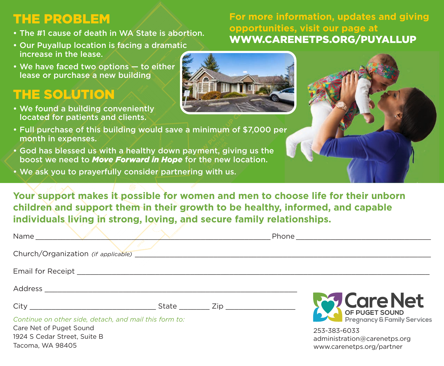## THE PROBLEM

- The #1 cause of death in WA State is abortion.
- Our Puyallup location is facing a dramatic increase in the lease.
- We have faced two options to either lease or purchase a new building

## THE SOLUTION

• We found a building conveniently located for patients and clients.



- Full purchase of this building would save a minimum of \$7,000 per month in expenses.
- God has blessed us with a healthy down payment, giving us the boost we need to *Move Forward in Hope* for the new location.
- We ask you to prayerfully consider partnering with us.

**Your support makes it possible for women and men to choose life for their unborn children and support them in their growth to be healthy, informed, and capable individuals living in strong, loving, and secure family relationships.**

| Church/Organization (if applicable)                     |  |                                              |
|---------------------------------------------------------|--|----------------------------------------------|
|                                                         |  |                                              |
|                                                         |  |                                              |
|                                                         |  | <b>Care Net</b>                              |
| Continue on other side, detach, and mail this form to:  |  |                                              |
| Care Net of Puget Sound<br>1924 S Cedar Street, Suite B |  | 253-383-6033<br>administration@carenetps.org |

1924 S Cedar Street, Suite B Tacoma, WA 98405

## **For more information, updates and giving opportunities, visit our page at**  WWW.CARENETPS.ORG/PUYALLUP

www.carenetps.org/partner